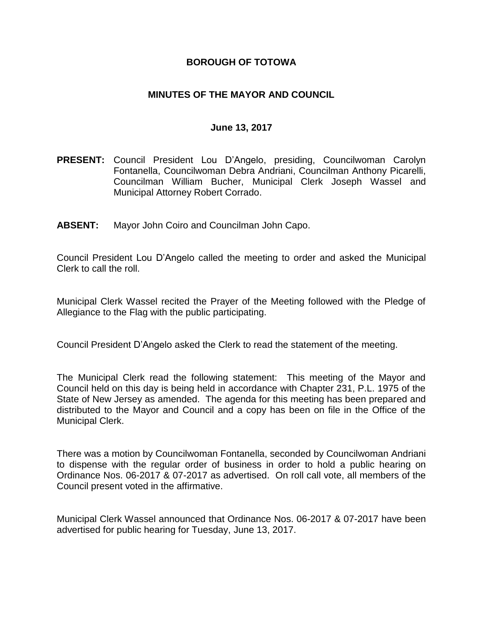### **BOROUGH OF TOTOWA**

### **MINUTES OF THE MAYOR AND COUNCIL**

### **June 13, 2017**

- **PRESENT:** Council President Lou D'Angelo, presiding, Councilwoman Carolyn Fontanella, Councilwoman Debra Andriani, Councilman Anthony Picarelli, Councilman William Bucher, Municipal Clerk Joseph Wassel and Municipal Attorney Robert Corrado.
- **ABSENT:** Mayor John Coiro and Councilman John Capo.

Council President Lou D'Angelo called the meeting to order and asked the Municipal Clerk to call the roll.

Municipal Clerk Wassel recited the Prayer of the Meeting followed with the Pledge of Allegiance to the Flag with the public participating.

Council President D'Angelo asked the Clerk to read the statement of the meeting.

The Municipal Clerk read the following statement: This meeting of the Mayor and Council held on this day is being held in accordance with Chapter 231, P.L. 1975 of the State of New Jersey as amended. The agenda for this meeting has been prepared and distributed to the Mayor and Council and a copy has been on file in the Office of the Municipal Clerk.

There was a motion by Councilwoman Fontanella, seconded by Councilwoman Andriani to dispense with the regular order of business in order to hold a public hearing on Ordinance Nos. 06-2017 & 07-2017 as advertised. On roll call vote, all members of the Council present voted in the affirmative.

Municipal Clerk Wassel announced that Ordinance Nos. 06-2017 & 07-2017 have been advertised for public hearing for Tuesday, June 13, 2017.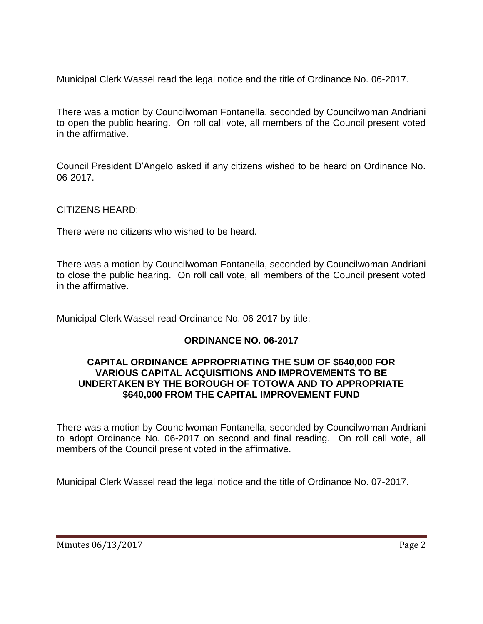Municipal Clerk Wassel read the legal notice and the title of Ordinance No. 06-2017.

There was a motion by Councilwoman Fontanella, seconded by Councilwoman Andriani to open the public hearing. On roll call vote, all members of the Council present voted in the affirmative.

Council President D'Angelo asked if any citizens wished to be heard on Ordinance No. 06-2017.

CITIZENS HEARD:

There were no citizens who wished to be heard.

There was a motion by Councilwoman Fontanella, seconded by Councilwoman Andriani to close the public hearing. On roll call vote, all members of the Council present voted in the affirmative.

Municipal Clerk Wassel read Ordinance No. 06-2017 by title:

## **ORDINANCE NO. 06-2017**

### **CAPITAL ORDINANCE APPROPRIATING THE SUM OF \$640,000 FOR VARIOUS CAPITAL ACQUISITIONS AND IMPROVEMENTS TO BE UNDERTAKEN BY THE BOROUGH OF TOTOWA AND TO APPROPRIATE \$640,000 FROM THE CAPITAL IMPROVEMENT FUND**

There was a motion by Councilwoman Fontanella, seconded by Councilwoman Andriani to adopt Ordinance No. 06-2017 on second and final reading. On roll call vote, all members of the Council present voted in the affirmative.

Municipal Clerk Wassel read the legal notice and the title of Ordinance No. 07-2017.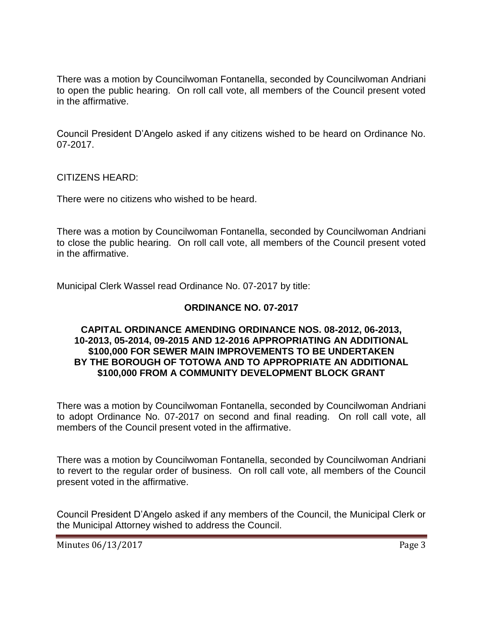There was a motion by Councilwoman Fontanella, seconded by Councilwoman Andriani to open the public hearing. On roll call vote, all members of the Council present voted in the affirmative.

Council President D'Angelo asked if any citizens wished to be heard on Ordinance No. 07-2017.

CITIZENS HEARD:

There were no citizens who wished to be heard.

There was a motion by Councilwoman Fontanella, seconded by Councilwoman Andriani to close the public hearing. On roll call vote, all members of the Council present voted in the affirmative.

Municipal Clerk Wassel read Ordinance No. 07-2017 by title:

### **ORDINANCE NO. 07-2017**

### **CAPITAL ORDINANCE AMENDING ORDINANCE NOS. 08-2012, 06-2013, 10-2013, 05-2014, 09-2015 AND 12-2016 APPROPRIATING AN ADDITIONAL \$100,000 FOR SEWER MAIN IMPROVEMENTS TO BE UNDERTAKEN BY THE BOROUGH OF TOTOWA AND TO APPROPRIATE AN ADDITIONAL \$100,000 FROM A COMMUNITY DEVELOPMENT BLOCK GRANT**

There was a motion by Councilwoman Fontanella, seconded by Councilwoman Andriani to adopt Ordinance No. 07-2017 on second and final reading. On roll call vote, all members of the Council present voted in the affirmative.

There was a motion by Councilwoman Fontanella, seconded by Councilwoman Andriani to revert to the regular order of business. On roll call vote, all members of the Council present voted in the affirmative.

Council President D'Angelo asked if any members of the Council, the Municipal Clerk or the Municipal Attorney wished to address the Council.

Minutes 06/13/2017 Page 3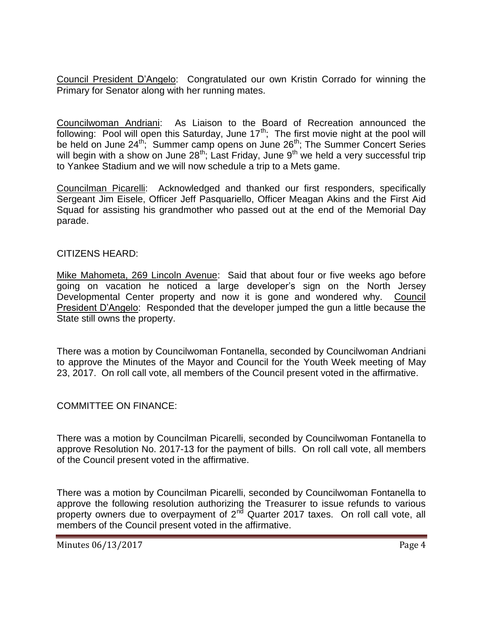Council President D'Angelo: Congratulated our own Kristin Corrado for winning the Primary for Senator along with her running mates.

Councilwoman Andriani: As Liaison to the Board of Recreation announced the following: Pool will open this Saturday, June  $17^{th}$ ; The first movie night at the pool will be held on June 24<sup>th</sup>; Summer camp opens on June 26<sup>th</sup>; The Summer Concert Series will begin with a show on June  $28^{th}$ ; Last Friday, June  $9^{th}$  we held a very successful trip to Yankee Stadium and we will now schedule a trip to a Mets game.

Councilman Picarelli: Acknowledged and thanked our first responders, specifically Sergeant Jim Eisele, Officer Jeff Pasquariello, Officer Meagan Akins and the First Aid Squad for assisting his grandmother who passed out at the end of the Memorial Day parade.

### CITIZENS HEARD:

Mike Mahometa, 269 Lincoln Avenue: Said that about four or five weeks ago before going on vacation he noticed a large developer's sign on the North Jersey Developmental Center property and now it is gone and wondered why. Council President D'Angelo: Responded that the developer jumped the gun a little because the State still owns the property.

There was a motion by Councilwoman Fontanella, seconded by Councilwoman Andriani to approve the Minutes of the Mayor and Council for the Youth Week meeting of May 23, 2017. On roll call vote, all members of the Council present voted in the affirmative.

### COMMITTEE ON FINANCE:

There was a motion by Councilman Picarelli, seconded by Councilwoman Fontanella to approve Resolution No. 2017-13 for the payment of bills. On roll call vote, all members of the Council present voted in the affirmative.

There was a motion by Councilman Picarelli, seconded by Councilwoman Fontanella to approve the following resolution authorizing the Treasurer to issue refunds to various property owners due to overpayment of  $2<sup>nd</sup>$  Quarter 2017 taxes. On roll call vote, all members of the Council present voted in the affirmative.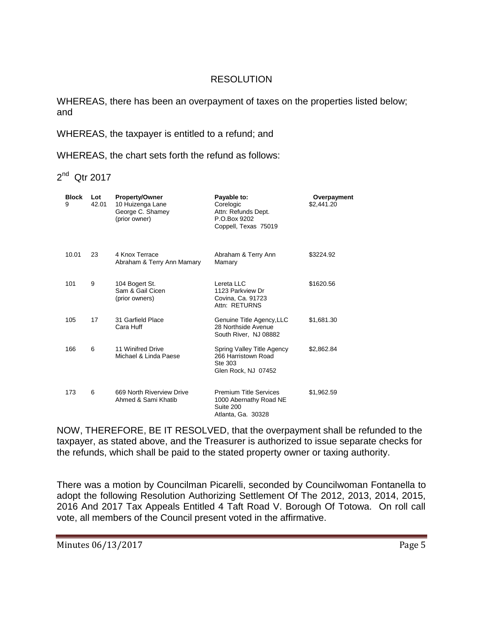## RESOLUTION

WHEREAS, there has been an overpayment of taxes on the properties listed below; and

WHEREAS, the taxpayer is entitled to a refund; and

WHEREAS, the chart sets forth the refund as follows:

2<sup>nd</sup> Qtr 2017

| <b>Block</b><br>9 | Lot<br>42.01 | Property/Owner<br>10 Huizenga Lane<br>George C. Shamey<br>(prior owner) | Payable to:<br>Corelogic<br>Attn: Refunds Dept.<br>P.O.Box 9202<br>Coppell, Texas 75019    | Overpayment<br>\$2,441.20 |
|-------------------|--------------|-------------------------------------------------------------------------|--------------------------------------------------------------------------------------------|---------------------------|
| 10.01             | 23           | 4 Knox Terrace<br>Abraham & Terry Ann Mamary                            | Abraham & Terry Ann<br>Mamary                                                              | \$3224.92                 |
| 101               | 9            | 104 Bogert St.<br>Sam & Gail Cicen<br>(prior owners)                    | Lereta LLC<br>1123 Parkview Dr<br>Covina, Ca. 91723<br>Attn: RETURNS                       | \$1620.56                 |
| 105               | 17           | 31 Garfield Place<br>Cara Huff                                          | Genuine Title Agency, LLC<br>28 Northside Avenue<br>South River, NJ 08882                  | \$1,681.30                |
| 166               | 6            | 11 Winifred Drive<br>Michael & Linda Paese                              | Spring Valley Title Agency<br>266 Harristown Road<br>Ste 303<br>Glen Rock, NJ 07452        | \$2,862.84                |
| 173               | 6            | 669 North Riverview Drive<br>Ahmed & Sami Khatib                        | <b>Premium Title Services</b><br>1000 Abernathy Road NE<br>Suite 200<br>Atlanta, Ga. 30328 | \$1,962.59                |

NOW, THEREFORE, BE IT RESOLVED, that the overpayment shall be refunded to the taxpayer, as stated above, and the Treasurer is authorized to issue separate checks for the refunds, which shall be paid to the stated property owner or taxing authority.

There was a motion by Councilman Picarelli, seconded by Councilwoman Fontanella to adopt the following Resolution Authorizing Settlement Of The 2012, 2013, 2014, 2015, 2016 And 2017 Tax Appeals Entitled 4 Taft Road V. Borough Of Totowa. On roll call vote, all members of the Council present voted in the affirmative.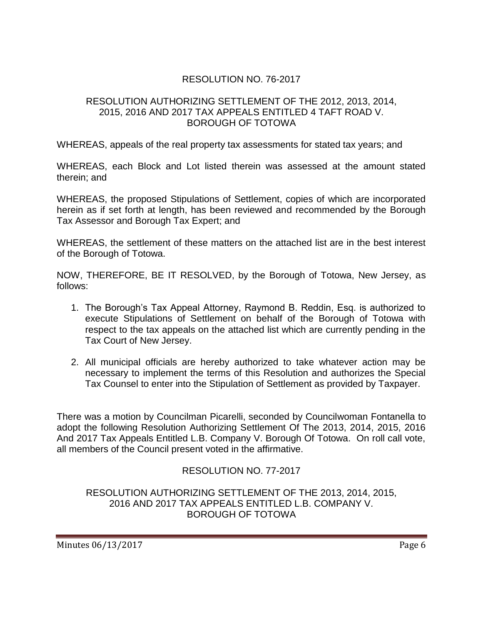# RESOLUTION NO. 76-2017

### RESOLUTION AUTHORIZING SETTLEMENT OF THE 2012, 2013, 2014, 2015, 2016 AND 2017 TAX APPEALS ENTITLED 4 TAFT ROAD V. BOROUGH OF TOTOWA

WHEREAS, appeals of the real property tax assessments for stated tax years; and

WHEREAS, each Block and Lot listed therein was assessed at the amount stated therein; and

WHEREAS, the proposed Stipulations of Settlement, copies of which are incorporated herein as if set forth at length, has been reviewed and recommended by the Borough Tax Assessor and Borough Tax Expert; and

WHEREAS, the settlement of these matters on the attached list are in the best interest of the Borough of Totowa.

NOW, THEREFORE, BE IT RESOLVED, by the Borough of Totowa, New Jersey, as follows:

- 1. The Borough's Tax Appeal Attorney, Raymond B. Reddin, Esq. is authorized to execute Stipulations of Settlement on behalf of the Borough of Totowa with respect to the tax appeals on the attached list which are currently pending in the Tax Court of New Jersey.
- 2. All municipal officials are hereby authorized to take whatever action may be necessary to implement the terms of this Resolution and authorizes the Special Tax Counsel to enter into the Stipulation of Settlement as provided by Taxpayer.

There was a motion by Councilman Picarelli, seconded by Councilwoman Fontanella to adopt the following Resolution Authorizing Settlement Of The 2013, 2014, 2015, 2016 And 2017 Tax Appeals Entitled L.B. Company V. Borough Of Totowa. On roll call vote, all members of the Council present voted in the affirmative.

## RESOLUTION NO. 77-2017

RESOLUTION AUTHORIZING SETTLEMENT OF THE 2013, 2014, 2015, 2016 AND 2017 TAX APPEALS ENTITLED L.B. COMPANY V. BOROUGH OF TOTOWA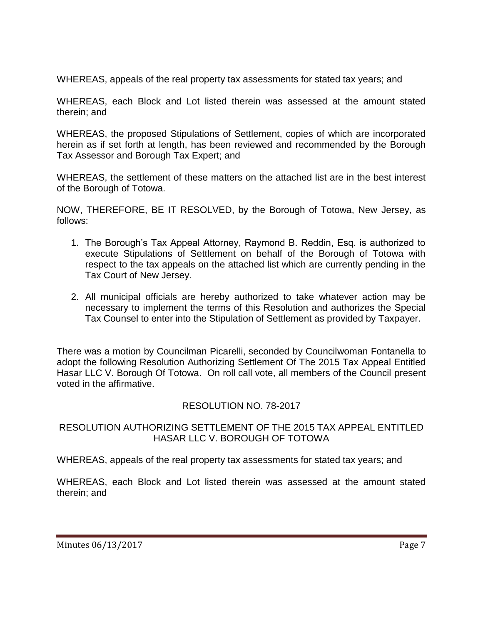WHEREAS, appeals of the real property tax assessments for stated tax years; and

WHEREAS, each Block and Lot listed therein was assessed at the amount stated therein; and

WHEREAS, the proposed Stipulations of Settlement, copies of which are incorporated herein as if set forth at length, has been reviewed and recommended by the Borough Tax Assessor and Borough Tax Expert; and

WHEREAS, the settlement of these matters on the attached list are in the best interest of the Borough of Totowa.

NOW, THEREFORE, BE IT RESOLVED, by the Borough of Totowa, New Jersey, as follows:

- 1. The Borough's Tax Appeal Attorney, Raymond B. Reddin, Esq. is authorized to execute Stipulations of Settlement on behalf of the Borough of Totowa with respect to the tax appeals on the attached list which are currently pending in the Tax Court of New Jersey.
- 2. All municipal officials are hereby authorized to take whatever action may be necessary to implement the terms of this Resolution and authorizes the Special Tax Counsel to enter into the Stipulation of Settlement as provided by Taxpayer.

There was a motion by Councilman Picarelli, seconded by Councilwoman Fontanella to adopt the following Resolution Authorizing Settlement Of The 2015 Tax Appeal Entitled Hasar LLC V. Borough Of Totowa. On roll call vote, all members of the Council present voted in the affirmative.

## RESOLUTION NO. 78-2017

## RESOLUTION AUTHORIZING SETTLEMENT OF THE 2015 TAX APPEAL ENTITLED HASAR LLC V. BOROUGH OF TOTOWA

WHEREAS, appeals of the real property tax assessments for stated tax years; and

WHEREAS, each Block and Lot listed therein was assessed at the amount stated therein; and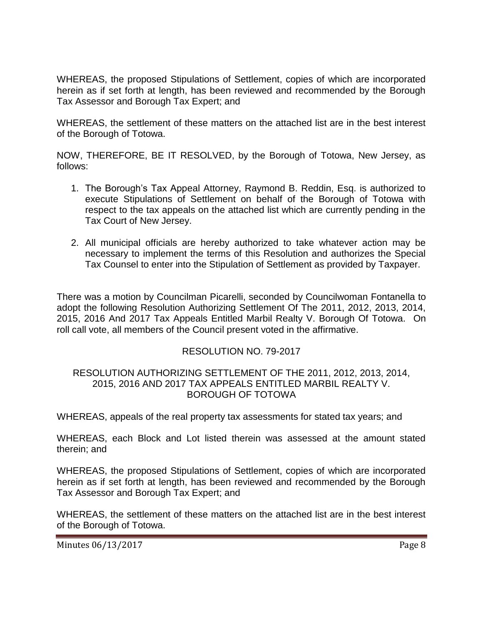WHEREAS, the proposed Stipulations of Settlement, copies of which are incorporated herein as if set forth at length, has been reviewed and recommended by the Borough Tax Assessor and Borough Tax Expert; and

WHEREAS, the settlement of these matters on the attached list are in the best interest of the Borough of Totowa.

NOW, THEREFORE, BE IT RESOLVED, by the Borough of Totowa, New Jersey, as follows:

- 1. The Borough's Tax Appeal Attorney, Raymond B. Reddin, Esq. is authorized to execute Stipulations of Settlement on behalf of the Borough of Totowa with respect to the tax appeals on the attached list which are currently pending in the Tax Court of New Jersey.
- 2. All municipal officials are hereby authorized to take whatever action may be necessary to implement the terms of this Resolution and authorizes the Special Tax Counsel to enter into the Stipulation of Settlement as provided by Taxpayer.

There was a motion by Councilman Picarelli, seconded by Councilwoman Fontanella to adopt the following Resolution Authorizing Settlement Of The 2011, 2012, 2013, 2014, 2015, 2016 And 2017 Tax Appeals Entitled Marbil Realty V. Borough Of Totowa. On roll call vote, all members of the Council present voted in the affirmative.

## RESOLUTION NO. 79-2017

#### RESOLUTION AUTHORIZING SETTLEMENT OF THE 2011, 2012, 2013, 2014, 2015, 2016 AND 2017 TAX APPEALS ENTITLED MARBIL REALTY V. BOROUGH OF TOTOWA

WHEREAS, appeals of the real property tax assessments for stated tax years; and

WHEREAS, each Block and Lot listed therein was assessed at the amount stated therein; and

WHEREAS, the proposed Stipulations of Settlement, copies of which are incorporated herein as if set forth at length, has been reviewed and recommended by the Borough Tax Assessor and Borough Tax Expert; and

WHEREAS, the settlement of these matters on the attached list are in the best interest of the Borough of Totowa.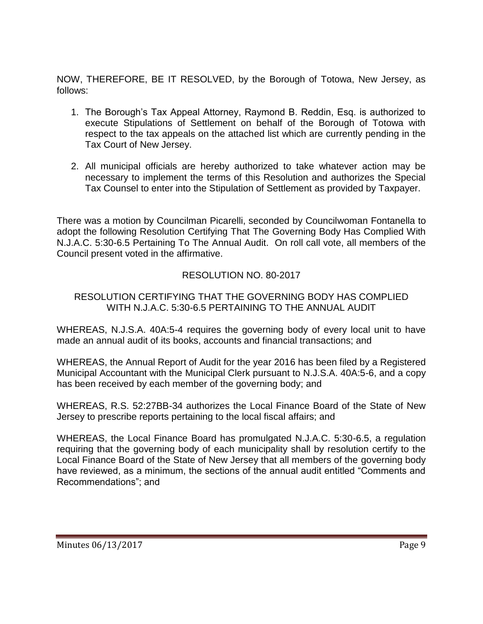NOW, THEREFORE, BE IT RESOLVED, by the Borough of Totowa, New Jersey, as follows:

- 1. The Borough's Tax Appeal Attorney, Raymond B. Reddin, Esq. is authorized to execute Stipulations of Settlement on behalf of the Borough of Totowa with respect to the tax appeals on the attached list which are currently pending in the Tax Court of New Jersey.
- 2. All municipal officials are hereby authorized to take whatever action may be necessary to implement the terms of this Resolution and authorizes the Special Tax Counsel to enter into the Stipulation of Settlement as provided by Taxpayer.

There was a motion by Councilman Picarelli, seconded by Councilwoman Fontanella to adopt the following Resolution Certifying That The Governing Body Has Complied With N.J.A.C. 5:30-6.5 Pertaining To The Annual Audit. On roll call vote, all members of the Council present voted in the affirmative.

# RESOLUTION NO. 80-2017

### RESOLUTION CERTIFYING THAT THE GOVERNING BODY HAS COMPLIED WITH N.J.A.C. 5:30-6.5 PERTAINING TO THE ANNUAL AUDIT

WHEREAS, N.J.S.A. 40A:5-4 requires the governing body of every local unit to have made an annual audit of its books, accounts and financial transactions; and

WHEREAS, the Annual Report of Audit for the year 2016 has been filed by a Registered Municipal Accountant with the Municipal Clerk pursuant to N.J.S.A. 40A:5-6, and a copy has been received by each member of the governing body; and

WHEREAS, R.S. 52:27BB-34 authorizes the Local Finance Board of the State of New Jersey to prescribe reports pertaining to the local fiscal affairs; and

WHEREAS, the Local Finance Board has promulgated N.J.A.C. 5:30-6.5, a regulation requiring that the governing body of each municipality shall by resolution certify to the Local Finance Board of the State of New Jersey that all members of the governing body have reviewed, as a minimum, the sections of the annual audit entitled "Comments and Recommendations"; and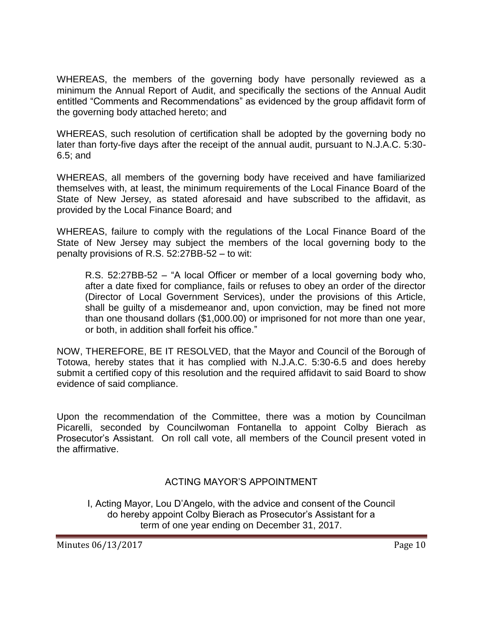WHEREAS, the members of the governing body have personally reviewed as a minimum the Annual Report of Audit, and specifically the sections of the Annual Audit entitled "Comments and Recommendations" as evidenced by the group affidavit form of the governing body attached hereto; and

WHEREAS, such resolution of certification shall be adopted by the governing body no later than forty-five days after the receipt of the annual audit, pursuant to N.J.A.C. 5:30- 6.5; and

WHEREAS, all members of the governing body have received and have familiarized themselves with, at least, the minimum requirements of the Local Finance Board of the State of New Jersey, as stated aforesaid and have subscribed to the affidavit, as provided by the Local Finance Board; and

WHEREAS, failure to comply with the regulations of the Local Finance Board of the State of New Jersey may subject the members of the local governing body to the penalty provisions of R.S. 52:27BB-52 – to wit:

R.S. 52:27BB-52 – "A local Officer or member of a local governing body who, after a date fixed for compliance, fails or refuses to obey an order of the director (Director of Local Government Services), under the provisions of this Article, shall be guilty of a misdemeanor and, upon conviction, may be fined not more than one thousand dollars (\$1,000.00) or imprisoned for not more than one year, or both, in addition shall forfeit his office."

NOW, THEREFORE, BE IT RESOLVED, that the Mayor and Council of the Borough of Totowa, hereby states that it has complied with N.J.A.C. 5:30-6.5 and does hereby submit a certified copy of this resolution and the required affidavit to said Board to show evidence of said compliance.

Upon the recommendation of the Committee, there was a motion by Councilman Picarelli, seconded by Councilwoman Fontanella to appoint Colby Bierach as Prosecutor's Assistant. On roll call vote, all members of the Council present voted in the affirmative.

## ACTING MAYOR'S APPOINTMENT

I, Acting Mayor, Lou D'Angelo, with the advice and consent of the Council do hereby appoint Colby Bierach as Prosecutor's Assistant for a term of one year ending on December 31, 2017.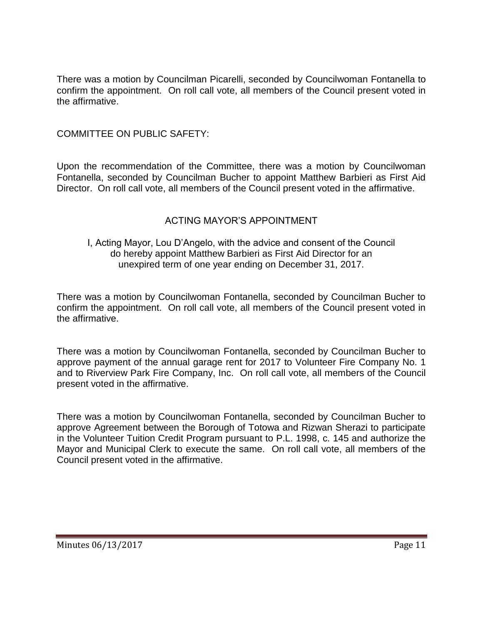There was a motion by Councilman Picarelli, seconded by Councilwoman Fontanella to confirm the appointment. On roll call vote, all members of the Council present voted in the affirmative.

## COMMITTEE ON PUBLIC SAFETY:

Upon the recommendation of the Committee, there was a motion by Councilwoman Fontanella, seconded by Councilman Bucher to appoint Matthew Barbieri as First Aid Director. On roll call vote, all members of the Council present voted in the affirmative.

## ACTING MAYOR'S APPOINTMENT

### I, Acting Mayor, Lou D'Angelo, with the advice and consent of the Council do hereby appoint Matthew Barbieri as First Aid Director for an unexpired term of one year ending on December 31, 2017.

There was a motion by Councilwoman Fontanella, seconded by Councilman Bucher to confirm the appointment. On roll call vote, all members of the Council present voted in the affirmative.

There was a motion by Councilwoman Fontanella, seconded by Councilman Bucher to approve payment of the annual garage rent for 2017 to Volunteer Fire Company No. 1 and to Riverview Park Fire Company, Inc. On roll call vote, all members of the Council present voted in the affirmative.

There was a motion by Councilwoman Fontanella, seconded by Councilman Bucher to approve Agreement between the Borough of Totowa and Rizwan Sherazi to participate in the Volunteer Tuition Credit Program pursuant to P.L. 1998, c. 145 and authorize the Mayor and Municipal Clerk to execute the same. On roll call vote, all members of the Council present voted in the affirmative.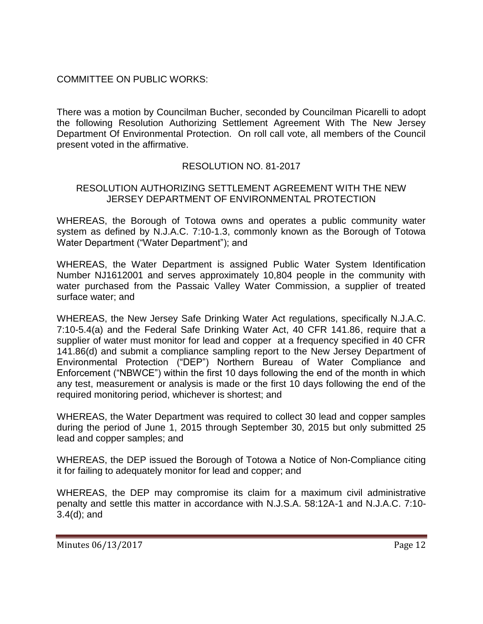# COMMITTEE ON PUBLIC WORKS:

There was a motion by Councilman Bucher, seconded by Councilman Picarelli to adopt the following Resolution Authorizing Settlement Agreement With The New Jersey Department Of Environmental Protection. On roll call vote, all members of the Council present voted in the affirmative.

# RESOLUTION NO. 81-2017

### RESOLUTION AUTHORIZING SETTLEMENT AGREEMENT WITH THE NEW JERSEY DEPARTMENT OF ENVIRONMENTAL PROTECTION

WHEREAS, the Borough of Totowa owns and operates a public community water system as defined by N.J.A.C. 7:10-1.3, commonly known as the Borough of Totowa Water Department ("Water Department"); and

WHEREAS, the Water Department is assigned Public Water System Identification Number NJ1612001 and serves approximately 10,804 people in the community with water purchased from the Passaic Valley Water Commission, a supplier of treated surface water; and

WHEREAS, the New Jersey Safe Drinking Water Act regulations, specifically N.J.A.C. 7:10-5.4(a) and the Federal Safe Drinking Water Act, 40 CFR 141.86, require that a supplier of water must monitor for lead and copper at a frequency specified in 40 CFR 141.86(d) and submit a compliance sampling report to the New Jersey Department of Environmental Protection ("DEP") Northern Bureau of Water Compliance and Enforcement ("NBWCE") within the first 10 days following the end of the month in which any test, measurement or analysis is made or the first 10 days following the end of the required monitoring period, whichever is shortest; and

WHEREAS, the Water Department was required to collect 30 lead and copper samples during the period of June 1, 2015 through September 30, 2015 but only submitted 25 lead and copper samples; and

WHEREAS, the DEP issued the Borough of Totowa a Notice of Non-Compliance citing it for failing to adequately monitor for lead and copper; and

WHEREAS, the DEP may compromise its claim for a maximum civil administrative penalty and settle this matter in accordance with N.J.S.A. 58:12A-1 and N.J.A.C. 7:10- 3.4(d); and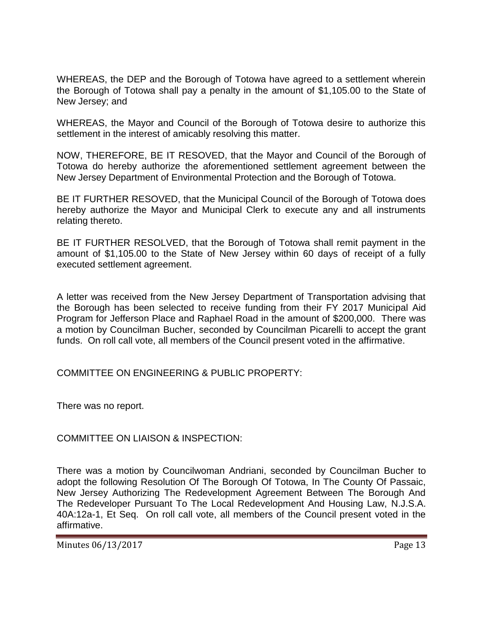WHEREAS, the DEP and the Borough of Totowa have agreed to a settlement wherein the Borough of Totowa shall pay a penalty in the amount of \$1,105.00 to the State of New Jersey; and

WHEREAS, the Mayor and Council of the Borough of Totowa desire to authorize this settlement in the interest of amicably resolving this matter.

NOW, THEREFORE, BE IT RESOVED, that the Mayor and Council of the Borough of Totowa do hereby authorize the aforementioned settlement agreement between the New Jersey Department of Environmental Protection and the Borough of Totowa.

BE IT FURTHER RESOVED, that the Municipal Council of the Borough of Totowa does hereby authorize the Mayor and Municipal Clerk to execute any and all instruments relating thereto.

BE IT FURTHER RESOLVED, that the Borough of Totowa shall remit payment in the amount of \$1,105.00 to the State of New Jersey within 60 days of receipt of a fully executed settlement agreement.

A letter was received from the New Jersey Department of Transportation advising that the Borough has been selected to receive funding from their FY 2017 Municipal Aid Program for Jefferson Place and Raphael Road in the amount of \$200,000. There was a motion by Councilman Bucher, seconded by Councilman Picarelli to accept the grant funds. On roll call vote, all members of the Council present voted in the affirmative.

## COMMITTEE ON ENGINEERING & PUBLIC PROPERTY:

There was no report.

COMMITTEE ON LIAISON & INSPECTION:

There was a motion by Councilwoman Andriani, seconded by Councilman Bucher to adopt the following Resolution Of The Borough Of Totowa, In The County Of Passaic, New Jersey Authorizing The Redevelopment Agreement Between The Borough And The Redeveloper Pursuant To The Local Redevelopment And Housing Law, N.J.S.A. 40A:12a-1, Et Seq. On roll call vote, all members of the Council present voted in the affirmative.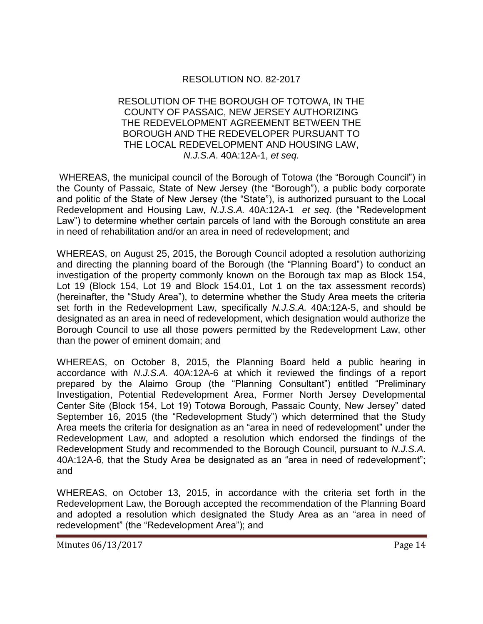## RESOLUTION NO. 82-2017

### RESOLUTION OF THE BOROUGH OF TOTOWA, IN THE COUNTY OF PASSAIC, NEW JERSEY AUTHORIZING THE REDEVELOPMENT AGREEMENT BETWEEN THE BOROUGH AND THE REDEVELOPER PURSUANT TO THE LOCAL REDEVELOPMENT AND HOUSING LAW, *N.J.S.A*. 40A:12A-1, *et seq.*

WHEREAS, the municipal council of the Borough of Totowa (the "Borough Council") in the County of Passaic, State of New Jersey (the "Borough"), a public body corporate and politic of the State of New Jersey (the "State"), is authorized pursuant to the Local Redevelopment and Housing Law, *N.J.S.A.* 40A:12A-1 *et seq.* (the "Redevelopment Law") to determine whether certain parcels of land with the Borough constitute an area in need of rehabilitation and/or an area in need of redevelopment; and

WHEREAS, on August 25, 2015, the Borough Council adopted a resolution authorizing and directing the planning board of the Borough (the "Planning Board") to conduct an investigation of the property commonly known on the Borough tax map as Block 154, Lot 19 (Block 154, Lot 19 and Block 154.01, Lot 1 on the tax assessment records) (hereinafter, the "Study Area"), to determine whether the Study Area meets the criteria set forth in the Redevelopment Law, specifically *N.J.S.A.* 40A:12A-5, and should be designated as an area in need of redevelopment, which designation would authorize the Borough Council to use all those powers permitted by the Redevelopment Law, other than the power of eminent domain; and

WHEREAS, on October 8, 2015, the Planning Board held a public hearing in accordance with *N.J.S.A.* 40A:12A-6 at which it reviewed the findings of a report prepared by the Alaimo Group (the "Planning Consultant") entitled "Preliminary Investigation, Potential Redevelopment Area, Former North Jersey Developmental Center Site (Block 154, Lot 19) Totowa Borough, Passaic County, New Jersey" dated September 16, 2015 (the "Redevelopment Study") which determined that the Study Area meets the criteria for designation as an "area in need of redevelopment" under the Redevelopment Law, and adopted a resolution which endorsed the findings of the Redevelopment Study and recommended to the Borough Council, pursuant to *N.J.S.A.* 40A:12A-6, that the Study Area be designated as an "area in need of redevelopment"; and

WHEREAS, on October 13, 2015, in accordance with the criteria set forth in the Redevelopment Law, the Borough accepted the recommendation of the Planning Board and adopted a resolution which designated the Study Area as an "area in need of redevelopment" (the "Redevelopment Area"); and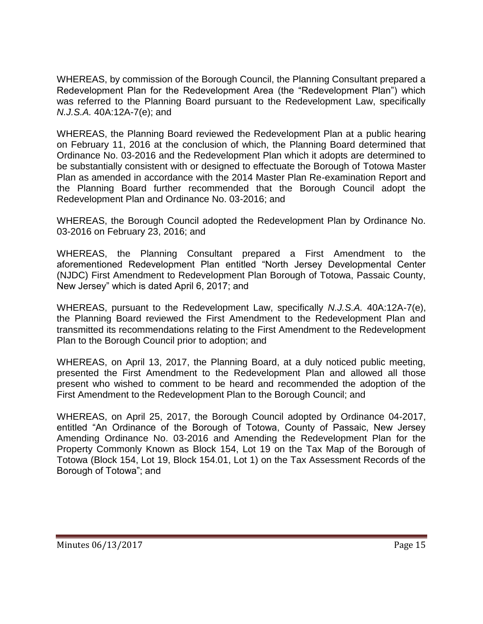WHEREAS, by commission of the Borough Council, the Planning Consultant prepared a Redevelopment Plan for the Redevelopment Area (the "Redevelopment Plan") which was referred to the Planning Board pursuant to the Redevelopment Law, specifically *N.J.S.A.* 40A:12A-7(e); and

WHEREAS, the Planning Board reviewed the Redevelopment Plan at a public hearing on February 11, 2016 at the conclusion of which, the Planning Board determined that Ordinance No. 03-2016 and the Redevelopment Plan which it adopts are determined to be substantially consistent with or designed to effectuate the Borough of Totowa Master Plan as amended in accordance with the 2014 Master Plan Re-examination Report and the Planning Board further recommended that the Borough Council adopt the Redevelopment Plan and Ordinance No. 03-2016; and

WHEREAS, the Borough Council adopted the Redevelopment Plan by Ordinance No. 03-2016 on February 23, 2016; and

WHEREAS, the Planning Consultant prepared a First Amendment to the aforementioned Redevelopment Plan entitled "North Jersey Developmental Center (NJDC) First Amendment to Redevelopment Plan Borough of Totowa, Passaic County, New Jersey" which is dated April 6, 2017; and

WHEREAS, pursuant to the Redevelopment Law, specifically *N.J.S.A.* 40A:12A-7(e), the Planning Board reviewed the First Amendment to the Redevelopment Plan and transmitted its recommendations relating to the First Amendment to the Redevelopment Plan to the Borough Council prior to adoption; and

WHEREAS, on April 13, 2017, the Planning Board, at a duly noticed public meeting, presented the First Amendment to the Redevelopment Plan and allowed all those present who wished to comment to be heard and recommended the adoption of the First Amendment to the Redevelopment Plan to the Borough Council; and

WHEREAS, on April 25, 2017, the Borough Council adopted by Ordinance 04-2017, entitled "An Ordinance of the Borough of Totowa, County of Passaic, New Jersey Amending Ordinance No. 03-2016 and Amending the Redevelopment Plan for the Property Commonly Known as Block 154, Lot 19 on the Tax Map of the Borough of Totowa (Block 154, Lot 19, Block 154.01, Lot 1) on the Tax Assessment Records of the Borough of Totowa"; and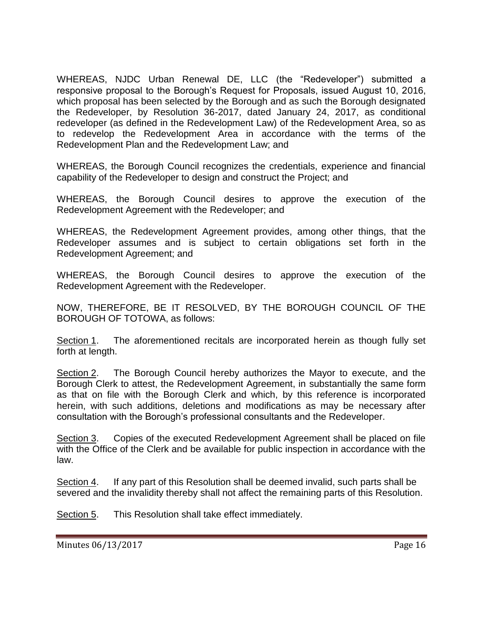WHEREAS, NJDC Urban Renewal DE, LLC (the "Redeveloper") submitted a responsive proposal to the Borough's Request for Proposals, issued August 10, 2016, which proposal has been selected by the Borough and as such the Borough designated the Redeveloper, by Resolution 36-2017, dated January 24, 2017, as conditional redeveloper (as defined in the Redevelopment Law) of the Redevelopment Area, so as to redevelop the Redevelopment Area in accordance with the terms of the Redevelopment Plan and the Redevelopment Law; and

WHEREAS, the Borough Council recognizes the credentials, experience and financial capability of the Redeveloper to design and construct the Project; and

WHEREAS, the Borough Council desires to approve the execution of the Redevelopment Agreement with the Redeveloper; and

WHEREAS, the Redevelopment Agreement provides, among other things, that the Redeveloper assumes and is subject to certain obligations set forth in the Redevelopment Agreement; and

WHEREAS, the Borough Council desires to approve the execution of the Redevelopment Agreement with the Redeveloper.

NOW, THEREFORE, BE IT RESOLVED, BY THE BOROUGH COUNCIL OF THE BOROUGH OF TOTOWA, as follows:

Section 1. The aforementioned recitals are incorporated herein as though fully set forth at length.

Section 2. The Borough Council hereby authorizes the Mayor to execute, and the Borough Clerk to attest, the Redevelopment Agreement, in substantially the same form as that on file with the Borough Clerk and which, by this reference is incorporated herein, with such additions, deletions and modifications as may be necessary after consultation with the Borough's professional consultants and the Redeveloper.

Section 3. Copies of the executed Redevelopment Agreement shall be placed on file with the Office of the Clerk and be available for public inspection in accordance with the law.

Section 4. If any part of this Resolution shall be deemed invalid, such parts shall be severed and the invalidity thereby shall not affect the remaining parts of this Resolution.

Section 5. This Resolution shall take effect immediately.